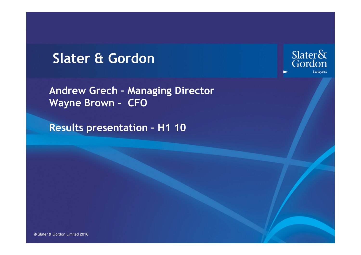## Slater & Gordon

Andrew Grech – Managing Director Wayne Brown – CFO

Results presentation – H1 10

Slater&<br>Gordon Lawyers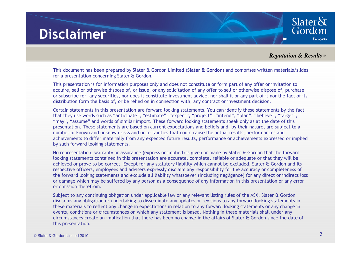## **Disclaimer**

*Reputation & Results™*

Slater $\delta$ Gordon

**Lawyers** 

This document has been prepared by Slater & Gordon Limited (Slater & Gordon) and comprises written materials/slides for a presentation concerning Slater & Gordon.

This presentation is for information purposes only and does not constitute or form part of any offer or invitation to acquire, sell or otherwise dispose of, or issue, or any solicitation of any offer to sell or otherwise dispose of, purchase or subscribe for, any securities, nor does it constitute investment advice, nor shall it or any part of it nor the fact of its distribution form the basis of, or be relied on in connection with, any contract or investment decision.

Certain statements in this presentation are forward looking statements. You can identify these statements by the fact that they use words such as "anticipate", "estimate", "expect", "project", "intend", "plan", "believe", "target", "may", "assume" and words of similar import. These forward looking statements speak only as at the date of this presentation. These statements are based on current expectations and beliefs and, by their nature, are subject to a number of known and unknown risks and uncertainties that could cause the actual results, performances and achievements to differ materially from any expected future results, performance or achievements expressed or implied by such forward looking statements.

No representation, warranty or assurance (express or implied) is given or made by Slater & Gordon that the forward looking statements contained in this presentation are accurate, complete, reliable or adequate or that they will be achieved or prove to be correct. Except for any statutory liability which cannot be excluded, Slater & Gordon and its respective officers, employees and advisers expressly disclaim any responsibility for the accuracy or completeness of the forward looking statements and exclude all liability whatsoever (including negligence) for any direct or indirect loss or damage which may be suffered by any person as a consequence of any information in this presentation or any error or omission therefrom.

Subject to any continuing obligation under applicable law or any relevant listing rules of the ASX, Slater & Gordon disclaims any obligation or undertaking to disseminate any updates or revisions to any forward looking statements in these materials to reflect any change in expectations in relation to any forward looking statements or any change in events, conditions or circumstances on which any statement is based. Nothing in these materials shall under any circumstances create an implication that there has been no change in the affairs of Slater & Gordon since the date of this presentation.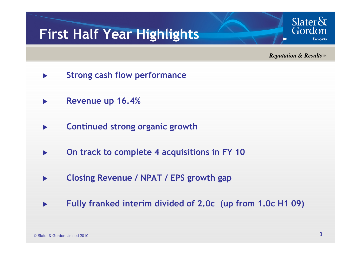# First Half Year Highlights

*Reputation & Results™*

Slater $\delta$ Gordon

Lawvers

- $\blacktriangleright$ Strong cash flow performance
- $\blacktriangleright$ Revenue up 16.4%
- $\blacktriangleright$ Continued strong organic growth
- $\blacktriangleright$ On track to complete 4 acquisitions in FY 10
- $\blacktriangleright$ Closing Revenue / NPAT / EPS growth gap
- $\blacktriangleright$ Fully franked interim divided of 2.0c (up from 1.0c H1 09)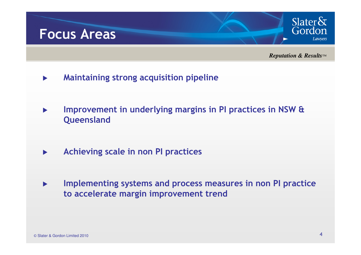

*Reputation & Results™*

- $\blacktriangleright$ Maintaining strong acquisition pipeline
- $\blacktriangleright$  Improvement in underlying margins in PI practices in NSW & **Queensland**
- $\blacksquare$ Achieving scale in non PI practices
- $\blacktriangleright$  Implementing systems and process measures in non PI practice to accelerate margin improvement trend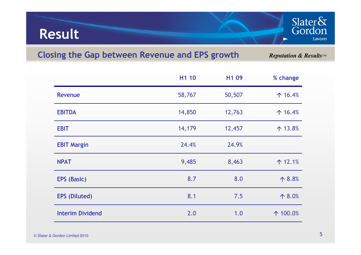## Result

## Closing the Gap between Revenue and EPS growth

*Reputation & Results™*

Slater&<br>Gordon

Lawyers

|                         | H1 10  | H <sub>1</sub> 09 | % change          |
|-------------------------|--------|-------------------|-------------------|
| Revenue                 | 58,767 | 50,507            | $\uparrow$ 16.4%  |
| <b>EBITDA</b>           | 14,850 | 12,763            | $\uparrow$ 16.4%  |
| <b>EBIT</b>             | 14,179 | 12,457            | $\uparrow$ 13.8%  |
| <b>EBIT Margin</b>      | 24.4%  | 24.9%             |                   |
| <b>NPAT</b>             | 9,485  | 8,463             | $\uparrow$ 12.1%  |
| EPS (Basic)             | 8.7    | 8.0               | $\uparrow 8.8%$   |
| <b>EPS</b> (Diluted)    | 8.1    | 7.5               | $\uparrow 8.0\%$  |
| <b>Interim Dividend</b> | 2.0    | 1.0               | $\uparrow$ 100.0% |
|                         |        |                   |                   |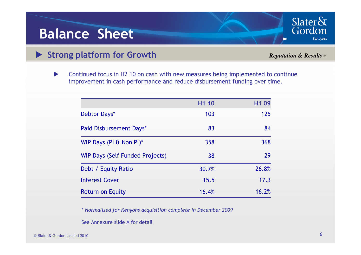## Balance Sheet

# Strong platform for Growth

*Reputation & Results™*

Slater&<br>Gordon

Lawyers

 $\blacktriangleright$  Continued focus in H2 10 on cash with new measures being implemented to continue improvement in cash performance and reduce disbursement funding over time.

|                                        | H <sub>1</sub> 10 | H <sub>1</sub> 09 |
|----------------------------------------|-------------------|-------------------|
| Debtor Days*                           | 103               | 125               |
| Paid Disbursement Days*                | 83                | 84                |
| WIP Days (PI & Non PI)*                | 358               | 368               |
| <b>WIP Days (Self Funded Projects)</b> | 38                | 29                |
| Debt / Equity Ratio                    | 30.7%             | 26.8%             |
| <b>Interest Cover</b>                  | 15.5              | 17.3              |
| <b>Return on Equity</b>                | 16.4%             | 16.2%             |

\* Normalised for Kenyons acquisition complete in December 2009

See Annexure slide A for detail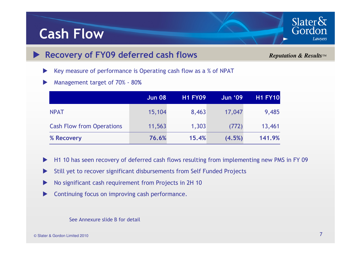## Cash Flow

#### $\blacktriangleright$ Recovery of FY09 deferred cash flows

*Reputation & Results™*

Slater $\&$ Gordon

Lawyers

 $\blacktriangleright$ Key measure of performance is Operating cash flow as a % of NPAT

 $\blacktriangleright$ Management target of 70% - <sup>80</sup>%

|                                  | <b>Jun 08</b> | <b>H1 FY09</b> | <b>Jun '09</b> | <b>H1 FY10</b> |
|----------------------------------|---------------|----------------|----------------|----------------|
| <b>NPAT</b>                      | 15,104        | 8,463          | 17,047         | 9,485          |
| <b>Cash Flow from Operations</b> | 11,563        | 1,303          | (772)          | 13,461         |
| % Recovery                       | 76.6%         | 15.4%          | (4.5%)         | 141.9%         |

- $\blacktriangleright$ H1 10 has seen recovery of deferred cash flows resulting from implementing new PMS in FY 09
- $\blacktriangleright$ Still yet to recover significant disbursements from Self Funded Projects
- $\blacktriangleright$ No significant cash requirement from Projects in 2H 10
- $\blacktriangleright$ Continuing focus on improving cash performance.

See Annexure slide B for detail

© Slater & Gordon Limited 2010  $\circ$  Slater & Gordon Limited 2010  $\sim$  7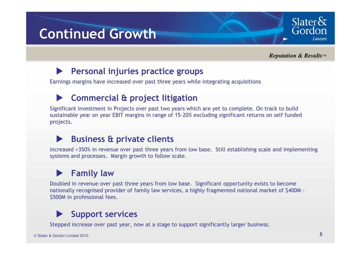# Continued Growth

*Reputation & Results™*

Slater $\delta$ Gordon

**Lawvers** 

#### $\blacktriangleright$ Personal injuries practice groups

Earnings margins have increased over past three years while integrating acquisitions

#### $\blacktriangleright$ Commercial & project litigation

Significant investment in Projects over past two years which are yet to complete. On track to build sustainable year on year EBIT margins in range of 15-20% excluding significant returns on self funded projects.

#### $\blacktriangleright$ Business & private clients

Increased >350% in revenue over past three years from low base. Still establishing scale and implementing systems and processes. Margin growth to follow scale.

#### $\blacktriangleright$ Family law

Doubled in revenue over past three years from low base. Significant opportunity exists to become nationally recognised provider of family law services, a highly fragmented national market of \$400M - \$500M in professional fees.

#### $\blacktriangleright$ Support services

Stepped increase over past year, now at a stage to support significantly larger business.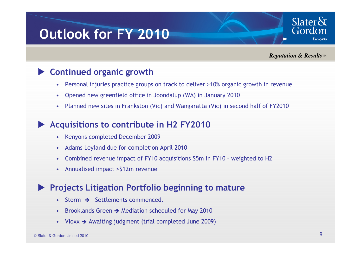# Outlook for FY 2010

*Reputation & Results™*

Slater $\&$ Gordon

Lawvers

#### $\blacktriangleright$ Continued organic growth

- $\bullet$ Personal injuries practice groups on track to deliver >10% organic growth in revenue
- •Opened new greenfield office in Joondalup (WA) in January 2010
- •Planned new sites in Frankston (Vic) and Wangaratta (Vic) in second half of FY2010

#### $\blacktriangleright$ Acquisitions to contribute in H2 FY2010

- Kenyons completed December 2009
- •Adams Leyland due for completion April 2010
- •Combined revenue impact of FY10 acquisitions \$5m in FY10 – weighted to H2
- Annualised impact >\$12m revenue

#### $\blacktriangleright$ Projects Litigation Portfolio beginning to mature

- •Storm  $\rightarrow$  Settlements commenced.
- Brooklands Green  $\rightarrow$  Mediation scheduled for May 2010
- Vioxx  $\rightarrow$  Awaiting judgment (trial completed June 2009)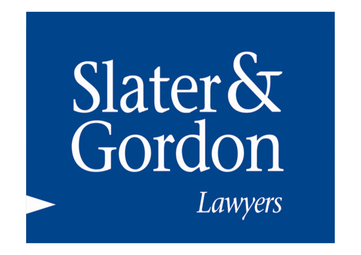# Slater & Gordon Lawyers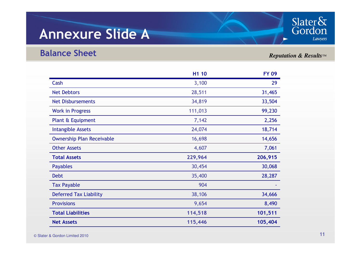## Annexure Slide A



## Balance Sheet

## *Reputation & Results™*

|                                  | H <sub>1</sub> 10 | <b>FY 09</b> |
|----------------------------------|-------------------|--------------|
| Cash                             | 3,100             | 29           |
| <b>Net Debtors</b>               | 28,511            | 31,465       |
| <b>Net Disbursements</b>         | 34,819            | 33,504       |
| <b>Work in Progress</b>          | 111,013           | 99,230       |
| Plant & Equipment                | 7,142             | 2,256        |
| <b>Intangible Assets</b>         | 24,074            | 18,714       |
| <b>Ownership Plan Receivable</b> | 16,698            | 14,656       |
| <b>Other Assets</b>              | 4,607             | 7,061        |
| <b>Total Assets</b>              | 229,964           | 206,915      |
| <b>Payables</b>                  | 30,454            | 30,068       |
| <b>Debt</b>                      | 35,400            | 28,287       |
| <b>Tax Payable</b>               | 904               |              |
| <b>Deferred Tax Liability</b>    | 38,106            | 34,666       |
| <b>Provisions</b>                | 9,654             | 8,490        |
| <b>Total Liabilities</b>         | 114,518           | 101,511      |
| <b>Net Assets</b>                | 115,446           | 105,404      |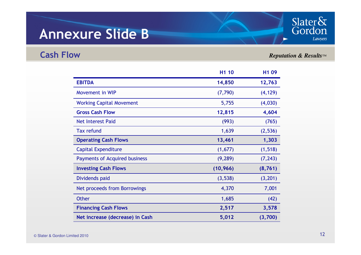## Annexure Slide B

Cash Flow

## *Reputation & Results™*

Slater&<br>Gordon

Lawyers

|                                      | H <sub>1</sub> 10 | H <sub>1</sub> 09 |
|--------------------------------------|-------------------|-------------------|
| <b>EBITDA</b>                        | 14,850            | 12,763            |
| Movement in WIP                      | (7, 790)          | (4, 129)          |
| <b>Working Capital Movement</b>      | 5,755             | (4,030)           |
| <b>Gross Cash Flow</b>               | 12,815            | 4,604             |
| Net Interest Paid                    | (993)             | (765)             |
| <b>Tax refund</b>                    | 1,639             | (2,536)           |
| <b>Operating Cash Flows</b>          | 13,461            | 1,303             |
| <b>Capital Expenditure</b>           | (1,677)           | (1, 518)          |
| <b>Payments of Acquired business</b> | (9, 289)          | (7, 243)          |
| <b>Investing Cash Flows</b>          | (10, 966)         | (8, 761)          |
| Dividends paid                       | (3, 538)          | (3,201)           |
| Net proceeds from Borrowings         | 4,370             | 7,001             |
| <b>Other</b>                         | 1,685             | (42)              |
| <b>Financing Cash Flows</b>          | 2,517             | 3,578             |
| Net increase (decrease) in Cash      | 5,012             | (3,700)           |